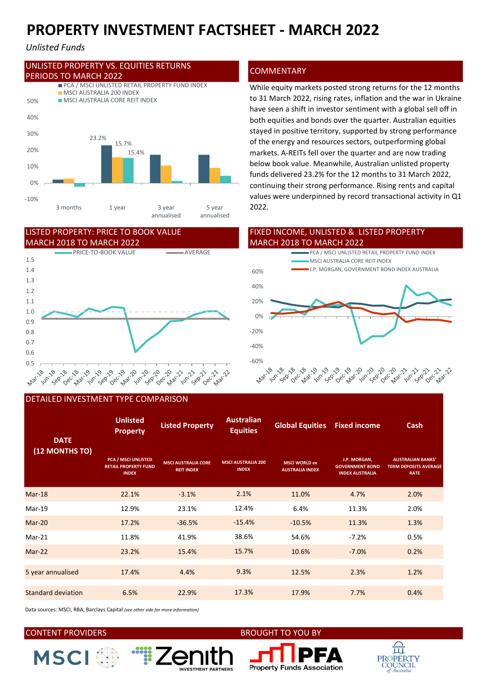# PROPERTY INVESTMENT FACTSHEET - MARCH 2022

### Unlisted Funds



### MARCH 2018 TO MARCH 2022 LISTED PROPERTY: PRICE TO BOOK VALUE



### DETAILED INVESTMENT TYPE COMPARISON

### Unlisted Property Listed Property **Constitution** Global Equities Fixed income PCA / MSCI UNLISTED RETAIL PROPERTY FUND INDEX MSCI AUSTRALIA CORE REIT INDEX MSCI WORLD ex AUSTRALIA INDEX J.P. MORGAN, GOVERNMENT BOND INDEX AUSTRALIA AUSTRALIAN BANKS' **TERM DEPOSITS AVERAGE** RATE Mar-18 22.1% -3.1% 11.0% 4.7% 2.0% Mar-19 12.9% 23.1% 6.4% 11.3% 2.0% Mar-20 17.2% -36.5% -15.4% -10.5% 11.3% 1.3% Mar-21 11.8% 41.9% 38.6% 54.6% -7.2% 0.5% Mar-22 23.2% 15.4% 10.6% -7.0% 0.2% 5 year annualised 17.4% 4.4% 12.5% 2.3% 1.2% Standard deviation **6.5%** 22.9% 17.3% 17.9% 7.7% 0.4% 9.3% -15.4% 38.6% 15.7% 2.1% **DATE** (12 MONTHS TO) Australian Equities MSCI AUSTRALIA 200 INDEX 17.3% 12.4%

Data sources: MSCI, RBA, Barclays Capital (see other side for more information)

**Example:** 

NVESTMENT PARTNERS

## CONTENT PROVIDERS BROUGHT TO YOU BY







While equity markets posted strong returns for the 12 months to 31 March 2022, rising rates, inflation and the war in Ukraine have seen a shift in investor sentiment with a global sell off in both equities and bonds over the quarter. Australian equities stayed in positive territory, supported by strong performance of the energy and resources sectors, outperforming global 23.2% 15.7% markets. A-REITs fell over the quarter and are now trading 15.4% below book value. Meanwhile, Australian unlisted property funds delivered 23.2% for the 12 months to 31 March 2022, continuing their strong performance. Rising rents and capital values were underpinned by record transactional activity in Q1 2022.

### FIXED INCOME, UNLISTED & LISTED PROPERTY MARCH 2018 TO MARCH 2022